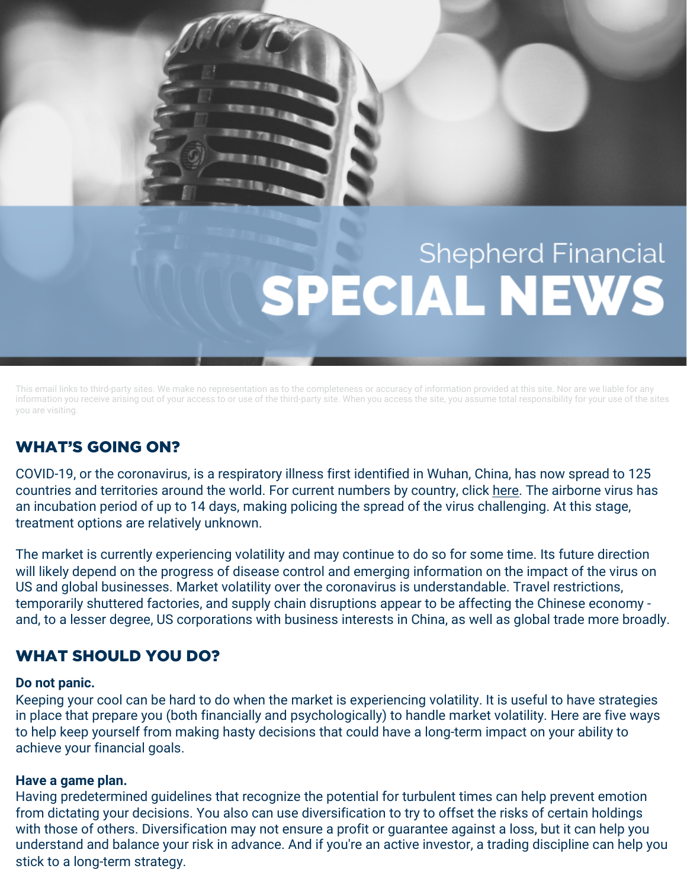# **Shepherd Financial SPECIAL NEWS**

This email links to third-party sites. We make no representation as to the completeness or accuracy of information provided at this site. Nor are we liable for any information you receive arising out of your access to or use of the third-party site. When you access the site, you assume total responsibility for your use of the sites you are visiting.

# WHAT'S GOING ON?

COVID-19, or the coronavirus, is a respiratory illness first identified in Wuhan, China, has now spread to 125 countries and territories around the world. For current numbers by country, click [here.](http://r20.rs6.net/tn.jsp%3Ff=0012BNuSysu65C6Q09XFh1qeXLGNGPCOEbIGaE3BbfQg9MwTr0O1Hmg45xDc0-UKl4KBjQ5CnHFMs_GgSRNfUdS4UApm_Dv90k8ikQnnL8Ryco3qe2er9CpM5JNUMgwMUWwqsHOqFmbLdzyOc3vFmaH3lVIlJH4ggb9yeRm98YXBMowoxi7cgWKWl6fZgonR4VL&c=cYOstOfCwZCpiu_qVlTNTToNYy0jGImjFOHNoJx5J2F9uJxG3hUJjg==&ch=t-3_Myzf_EW_uiasyD_TBqhmU6DbIijhNcq4bN7-WdQqbBId-3-CRA==) The airborne virus has an incubation period of up to 14 days, making policing the spread of the virus challenging. At this stage, treatment options are relatively unknown.

The market is currently experiencing volatility and may continue to do so for some time. Its future direction will likely depend on the progress of disease control and emerging information on the impact of the virus on US and global businesses. Market volatility over the coronavirus is understandable. Travel restrictions, temporarily shuttered factories, and supply chain disruptions appear to be affecting the Chinese economy and, to a lesser degree, US corporations with business interests in China, as well as global trade more broadly.

# WHAT SHOULD YOU DO?

# **Do not panic.**

Keeping your cool can be hard to do when the market is experiencing volatility. It is useful to have strategies in place that prepare you (both financially and psychologically) to handle market volatility. Here are five ways to help keep yourself from making hasty decisions that could have a long-term impact on your ability to achieve your financial goals.

# **Have a game plan.**

Having predetermined guidelines that recognize the potential for turbulent times can help prevent emotion from dictating your decisions. You also can use diversification to try to offset the risks of certain holdings with those of others. Diversification may not ensure a profit or guarantee against a loss, but it can help you understand and balance your risk in advance. And if you're an active investor, a trading discipline can help you stick to a long-term strategy.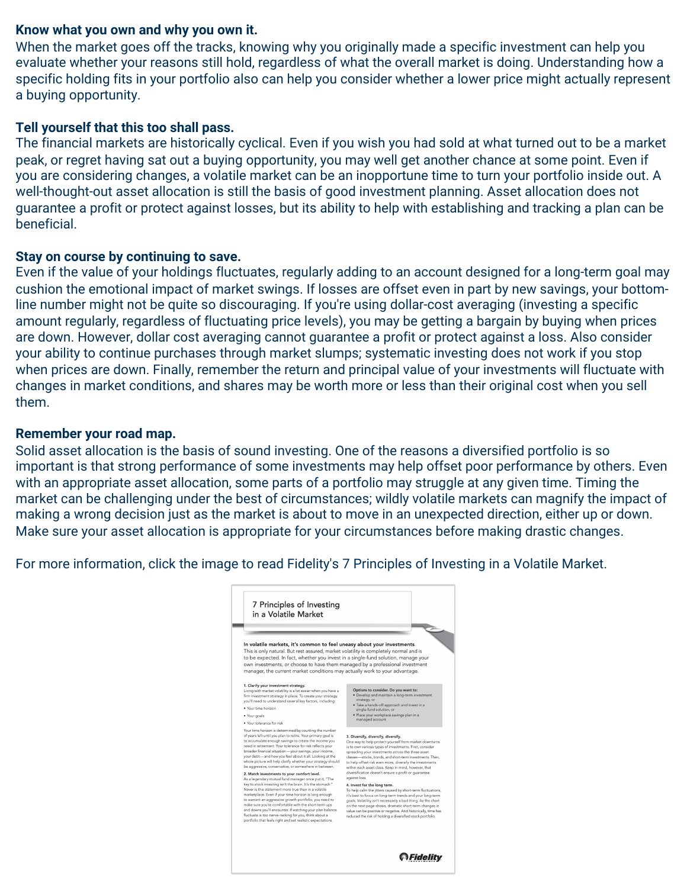## **Know what you own and why you own it.**

When the market goes off the tracks, knowing why you originally made a specific investment can help you evaluate whether your reasons still hold, regardless of what the overall market is doing. Understanding how a specific holding fits in your portfolio also can help you consider whether a lower price might actually represent a buying opportunity.

# **Tell yourself that this too shall pass.**

The financial markets are historically cyclical. Even if you wish you had sold at what turned out to be a market peak, or regret having sat out a buying opportunity, you may well get another chance at some point. Even if you are considering changes, a volatile market can be an inopportune time to turn your portfolio inside out. A well-thought-out asset allocation is still the basis of good investment planning. Asset allocation does not guarantee a profit or protect against losses, but its ability to help with establishing and tracking a plan can be beneficial.

### **Stay on course by continuing to save.**

Even if the value of your holdings fluctuates, regularly adding to an account designed for a long-term goal may cushion the emotional impact of market swings. If losses are offset even in part by new savings, your bottomline number might not be quite so discouraging. If you're using dollar-cost averaging (investing a specific amount regularly, regardless of fluctuating price levels), you may be getting a bargain by buying when prices are down. However, dollar cost averaging cannot guarantee a profit or protect against a loss. Also consider your ability to continue purchases through market slumps; systematic investing does not work if you stop when prices are down. Finally, remember the return and principal value of your investments will fluctuate with changes in market conditions, and shares may be worth more or less than their original cost when you sell them.

### **Remember your road map.**

Solid asset allocation is the basis of sound investing. One of the reasons a diversified portfolio is so important is that strong performance of some investments may help offset poor performance by others. Even with an appropriate asset allocation, some parts of a portfolio may struggle at any given time. Timing the market can be challenging under the best of circumstances; wildly volatile markets can magnify the impact of making a wrong decision just as the market is about to move in an unexpected direction, either up or down. Make sure your asset allocation is appropriate for your circumstances before making drastic changes.

For more information, click the image to read Fidelity's 7 Principles of Investing in a Volatile Market.

| In volatile markets, it's common to feel uneasy about your investments.<br>This is only natural. But rest assured, market volatility is completely normal and is<br>to be expected. In fact, whether you invest in a single-fund solution, manage your<br>own investments, or choose to have them managed by a professional investment                                                                                                                                                                                                                                                   |                                                                                                                                                                                                                                                                                                                                                                                                                                                       |
|------------------------------------------------------------------------------------------------------------------------------------------------------------------------------------------------------------------------------------------------------------------------------------------------------------------------------------------------------------------------------------------------------------------------------------------------------------------------------------------------------------------------------------------------------------------------------------------|-------------------------------------------------------------------------------------------------------------------------------------------------------------------------------------------------------------------------------------------------------------------------------------------------------------------------------------------------------------------------------------------------------------------------------------------------------|
| manager, the current market conditions may actually work to your advantage.                                                                                                                                                                                                                                                                                                                                                                                                                                                                                                              |                                                                                                                                                                                                                                                                                                                                                                                                                                                       |
| 1. Clarify your investment strategy.<br>Living with market volatility is a lot easier when you have a<br>firm investment strategy in place. To create your strategy,<br>you'll need to understand several key factors, including:<br>. Your time horizon<br>. Your goals<br>. Your tolerance for risk                                                                                                                                                                                                                                                                                    | Options to consider. Do you want to:<br>· Develop and maintain a long-term investment<br>strategy, or<br>· Take a hands-off approach and invest in a<br>single-fund solution, or<br>· Place your workplace savings plan in a<br>managed account                                                                                                                                                                                                       |
| Your time horizon is determined by counting the number<br>of years left until you plan to retire. Your primary goal is<br>to accumulate enough savings to create the income you<br>need in retirement. Your tolerance for risk reflects your<br>broader financial situation-your savings, your income,<br>your debt-and how you feel about it all. Looking at the<br>whole picture will help clarify whether your strategy should<br>be aggressive, conservative, or somewhere in between.                                                                                               | 3. Diversify, diversify, diversify.<br>One way to help protect yourself from market downturns<br>is to own various types of investments. First, consider<br>spreading your investments across the three asset<br>classes-stocks, bonds, and short-term investments. Then,<br>to help offset risk even more, diversify the investments<br>within each asset class. Keep in mind, however, that<br>diversification doesn't ensure a profit or quarantee |
| 2. Match investments to your comfort level.<br>As a legendary mutual fund manager once put it, "The<br>key to stock investing isn't the brain. It's the stomach."<br>Never is this statement more true than in a volatile<br>marketplace. Even if your time horizon is long enough<br>to warrant an aggressive growth portfolio, you need to<br>make sure you're comfortable with the short-term ups<br>and downs you'll encounter. If watching your plan balance<br>fluctuate is too nerve-racking for you, think about a<br>portfolio that feels right and set realistic expectations. | against loss.<br>4. Invest for the long term.<br>To help calm the jitters caused by short-term fluctuations,<br>it's best to focus on long-term trends and your long-term<br>goals. Volatility isn't necessarily a bad thing. As the chart<br>on the next page shows, dramatic short-term changes in<br>value can be positive or negative. And historically, time has<br>reduced the risk of holding a diversified stock portfolio.                   |